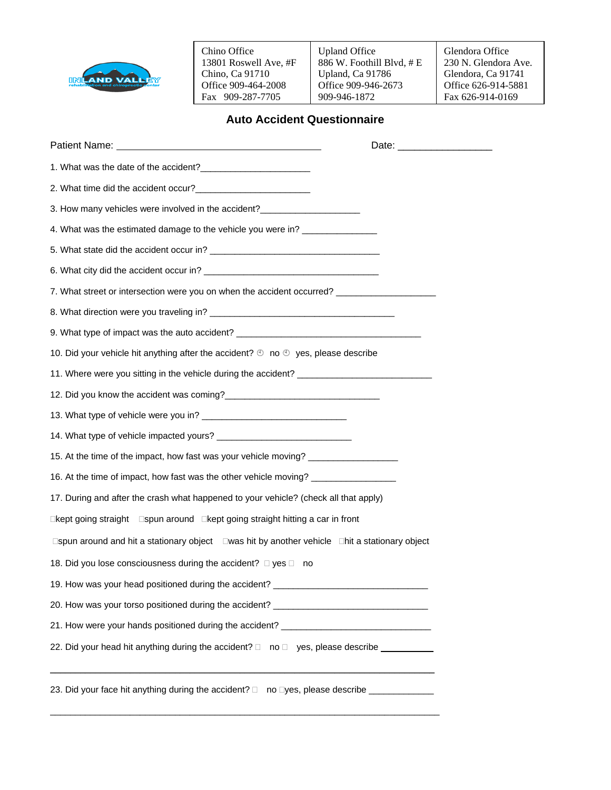

Chino Office 13801 Roswell Ave, #F Chino, Ca 91710 Office 909-464-2008 Fax 909-287-7705

Upland Office 886 W. Foothill Blvd, # E Upland, Ca 91786 Office 909-946-2673 909-946-1872

Glendora Office 230 N. Glendora Ave. Glendora, Ca 91741 Office 626-914-5881 Fax 626-914-0169

## **Auto Accident Questionnaire**

| Patient Name: Name: Name and Allen Manual Account of the Allen Manual Account of the Allen Manual Account of the Allen Manual Account of the Allen Manual Account of the Allen Manual Account of the Allen Manual Account of t |  |
|--------------------------------------------------------------------------------------------------------------------------------------------------------------------------------------------------------------------------------|--|
|                                                                                                                                                                                                                                |  |
|                                                                                                                                                                                                                                |  |
| 3. How many vehicles were involved in the accident?_____________________________                                                                                                                                               |  |
| 4. What was the estimated damage to the vehicle you were in? ___________________                                                                                                                                               |  |
|                                                                                                                                                                                                                                |  |
|                                                                                                                                                                                                                                |  |
| 7. What street or intersection were you on when the accident occurred? ________________                                                                                                                                        |  |
|                                                                                                                                                                                                                                |  |
| 9. What type of impact was the auto accident? __________________________________                                                                                                                                               |  |
| 10. Did your vehicle hit anything after the accident? $\mathfrak{D}$ no $\mathfrak{D}$ yes, please describe                                                                                                                    |  |
| 11. Where were you sitting in the vehicle during the accident? __________________                                                                                                                                              |  |
|                                                                                                                                                                                                                                |  |
|                                                                                                                                                                                                                                |  |
|                                                                                                                                                                                                                                |  |
| 15. At the time of the impact, how fast was your vehicle moving? _______________                                                                                                                                               |  |
| 16. At the time of impact, how fast was the other vehicle moving? ______________                                                                                                                                               |  |
| 17. During and after the crash what happened to your vehicle? (check all that apply)                                                                                                                                           |  |
| □kept going straight  □spun around  □kept going straight hitting a car in front                                                                                                                                                |  |
| □spun around and hit a stationary object □was hit by another vehicle □hit a stationary object                                                                                                                                  |  |
| 18. Did you lose consciousness during the accident? □ yes □ no                                                                                                                                                                 |  |
| 19. How was your head positioned during the accident? _                                                                                                                                                                        |  |
| 20. How was your torso positioned during the accident? _________________________                                                                                                                                               |  |
| 21. How were your hands positioned during the accident? ________________________                                                                                                                                               |  |
| 22. Did your head hit anything during the accident? □ no □ yes, please describe ________                                                                                                                                       |  |
| 23. Did your face hit anything during the accident? □ no □yes, please describe ____________________                                                                                                                            |  |

\_\_\_\_\_\_\_\_\_\_\_\_\_\_\_\_\_\_\_\_\_\_\_\_\_\_\_\_\_\_\_\_\_\_\_\_\_\_\_\_\_\_\_\_\_\_\_\_\_\_\_\_\_\_\_\_\_\_\_\_\_\_\_\_\_\_\_\_\_\_\_\_\_\_\_\_\_\_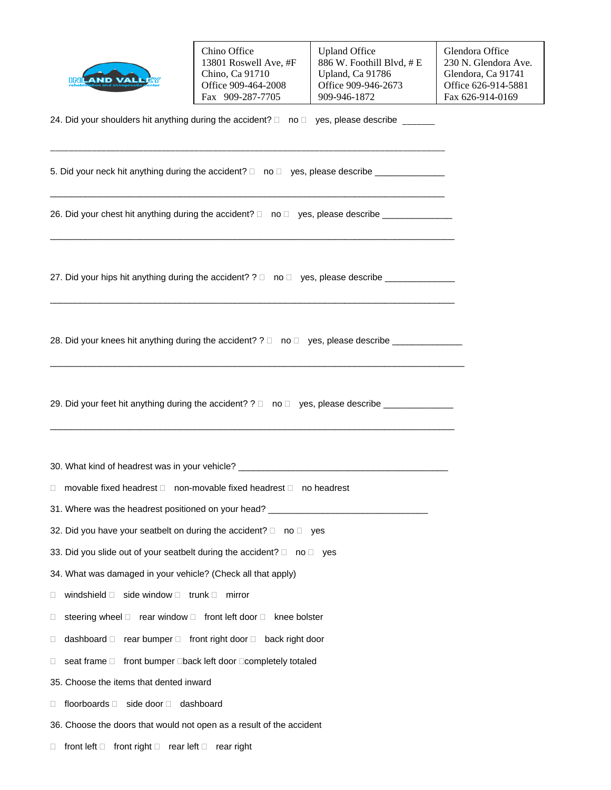|                                                                                                                            | Chino Office          | <b>Upland Office</b>     |  |  |  |  |
|----------------------------------------------------------------------------------------------------------------------------|-----------------------|--------------------------|--|--|--|--|
|                                                                                                                            | 13801 Roswell Ave, #F | 886 W. Foothill Blvd, #E |  |  |  |  |
|                                                                                                                            | Chino, Ca 91710       | Upland, Ca 91786         |  |  |  |  |
|                                                                                                                            | Office 909-464-2008   | Office 909-946-2673      |  |  |  |  |
|                                                                                                                            | Fax 909-287-7705      | 909-946-1872             |  |  |  |  |
| 24. Did your shoulders hit anything during the accident? □ no □ yes, please describe                                       |                       |                          |  |  |  |  |
| $\Gamma$ . Distance we are the finite section of the construction of $\Gamma$ , which is a second construction of $\Gamma$ |                       |                          |  |  |  |  |

| Chino Office          |  |
|-----------------------|--|
| 13801 Roswell Ave, #F |  |
| Chino, Ca 91710       |  |
| Office 909-464-2008   |  |
| Fax 909-287-7705      |  |

5. Did your neck hit anything during the accident?  $\Box$  no  $\Box$  yes, please describe  $\Box$ 

26. Did your chest hit anything during the accident?  $\Box$  no  $\Box$  yes, please describe  $\Box$ 

\_\_\_\_\_\_\_\_\_\_\_\_\_\_\_\_\_\_\_\_\_\_\_\_\_\_\_\_\_\_\_\_\_\_\_\_\_\_\_\_\_\_\_\_\_\_\_\_\_\_\_\_\_\_\_\_\_\_\_\_\_\_\_\_\_\_\_\_\_\_\_\_\_\_\_\_\_\_\_\_\_

\_\_\_\_\_\_\_\_\_\_\_\_\_\_\_\_\_\_\_\_\_\_\_\_\_\_\_\_\_\_\_\_\_\_\_\_\_\_\_\_\_\_\_\_\_\_\_\_\_\_\_\_\_\_\_\_\_\_\_\_\_\_\_\_\_\_\_\_\_\_\_\_\_\_\_\_\_\_\_\_\_

 $\_$  , and the set of the set of the set of the set of the set of the set of the set of the set of the set of the set of the set of the set of the set of the set of the set of the set of the set of the set of the set of th

 $\_$  ,  $\_$  ,  $\_$  ,  $\_$  ,  $\_$  ,  $\_$  ,  $\_$  ,  $\_$  ,  $\_$  ,  $\_$  ,  $\_$  ,  $\_$  ,  $\_$  ,  $\_$  ,  $\_$  ,  $\_$  ,  $\_$  ,  $\_$  ,  $\_$  ,  $\_$  ,  $\_$  ,  $\_$  ,  $\_$  ,  $\_$  ,  $\_$  ,  $\_$  ,  $\_$  ,  $\_$  ,  $\_$  ,  $\_$  ,  $\_$  ,  $\_$  ,  $\_$  ,  $\_$  ,  $\_$  ,  $\_$  ,  $\_$  ,

27. Did your hips hit anything during the accident?  $? \Box$  no  $\Box$  yes, please describe  $\_\_$ 

| 28. Did your knees hit anything during the accident? $? \Box$ no $\Box$ yes, please describe of |  |  |
|-------------------------------------------------------------------------------------------------|--|--|
|-------------------------------------------------------------------------------------------------|--|--|

29. Did your feet hit anything during the accident?  $? \Box$  no  $\Box$  yes, please describe  $\_\_$ 

30. What kind of headrest was in your vehicle? \_\_\_\_\_\_\_\_\_\_\_\_\_\_\_\_\_\_\_\_\_\_\_\_\_\_\_\_\_\_\_\_\_\_\_\_\_\_\_\_\_\_

\_\_\_\_\_\_\_\_\_\_\_\_\_\_\_\_\_\_\_\_\_\_\_\_\_\_\_\_\_\_\_\_\_\_\_\_\_\_\_\_\_\_\_\_\_\_\_\_\_\_\_\_\_\_\_\_\_\_\_\_\_\_\_\_\_\_\_\_\_\_\_\_\_\_\_\_\_\_\_\_\_

 $\Box$  movable fixed headrest  $\Box$  non-movable fixed headrest  $\Box$  no headrest

31. Where was the headrest positioned on your head? \_\_\_\_\_\_\_\_\_\_\_\_\_\_\_\_\_\_\_\_\_\_\_\_\_\_\_\_

- 32. Did you have your seatbelt on during the accident?  $\square$  no  $\square$  yes
- 33. Did you slide out of your seatbelt during the accident?  $\square$  no  $\square$  yes
- 34. What was damaged in your vehicle? (Check all that apply)
- $\Box$  windshield  $\Box$  side window  $\Box$  trunk  $\Box$  mirror
- $\Box$  steering wheel  $\Box$  rear window  $\Box$  front left door  $\Box$  knee bolster
- $\Box$  dashboard  $\Box$  rear bumper  $\Box$  front right door  $\Box$  back right door
- $\Box$  seat frame  $\Box$  front bumper  $\Box$ back left door  $\Box$ completely totaled
- 35. Choose the items that dented inward
- $\Box$  floorboards  $\Box$  side door  $\Box$  dashboard
- 36. Choose the doors that would not open as a result of the accident
- $\Box$  front left  $\Box$  front right  $\Box$  rear left  $\Box$  rear right